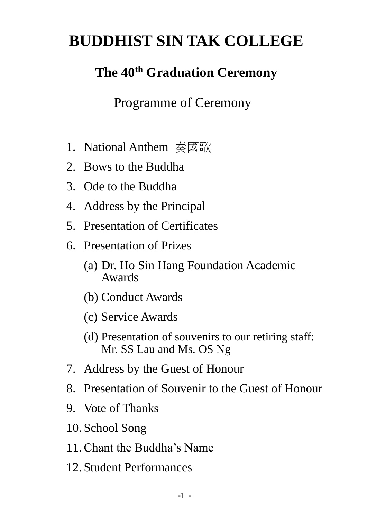# **BUDDHIST SIN TAK COLLEGE**

## **The 40th Graduation Ceremony**

Programme of Ceremony

- 1. National Anthem 奏國歌
- 2. Bows to the Buddha
- 3. Ode to the Buddha
- 4. Address by the Principal
- 5. Presentation of Certificates
- 6. Presentation of Prizes
	- (a) Dr. Ho Sin Hang Foundation Academic Awards
	- (b) Conduct Awards
	- (c) Service Awards
	- (d) Presentation of souvenirs to our retiring staff: Mr. SS Lau and Ms. OS Ng
- 7. Address by the Guest of Honour
- 8. Presentation of Souvenir to the Guest of Honour
- 9. Vote of Thanks
- 10. School Song
- 11.Chant the Buddha's Name
- 12. Student Performances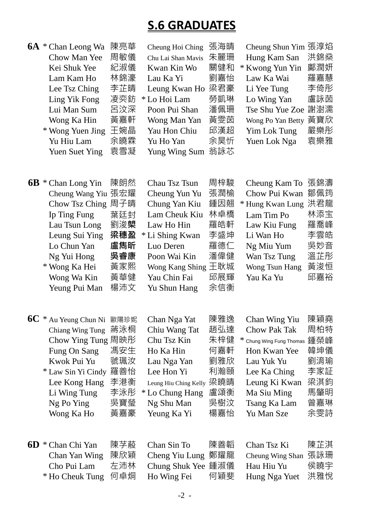### **S.6 GRADUATES**

| <b>6A</b> * Chan Leong Wa<br>Chow Man Yee<br>Kei Shuk Yee                                                                                                                                   | 陳亮華<br>周敏儀<br>紀淑儀                                                                 | Cheung Hoi Ching<br>Chu Lai Shan Mavis<br>Kwan Kin Wo                                                                                                                                 | 張海晴<br>朱麗珊<br>關健和                                                  |        | Cheung Shun Yim 張淳焰<br>Hung Kam San<br>* Kwong Yun Yin                                                                                                                     | 洪錦燊<br>鄺潤姸                                                         |
|---------------------------------------------------------------------------------------------------------------------------------------------------------------------------------------------|-----------------------------------------------------------------------------------|---------------------------------------------------------------------------------------------------------------------------------------------------------------------------------------|--------------------------------------------------------------------|--------|----------------------------------------------------------------------------------------------------------------------------------------------------------------------------|--------------------------------------------------------------------|
| Lam Kam Ho<br>Lee Tsz Ching<br>Ling Yik Fong<br>Lui Man Sum<br>Wong Ka Hin<br>* Wong Yuen Jing<br>Yu Hiu Lam<br><b>Yuen Suet Ying</b>                                                       | 林錦濠<br>李芷晴<br>凌奕鈁<br>呂汶深<br>黃嘉軒<br>王婉晶<br>余曉霖<br>袁雪凝                              | Lau Ka Yi<br>Leung Kwan Ho<br>* Lo Hoi Lam<br>Poon Pui Shan<br>Wong Man Yan<br>Yau Hon Chiu<br>Yu Ho Yan<br>Yung Wing Sum                                                             | 劉嘉怡<br>梁君豪<br>勞凱琳<br>潘佩珊<br>黃雯茵<br>邱漢超<br>余昊忻<br>翁詠芯               |        | Law Ka Wai<br>Li Yee Tung<br>Lo Wing Yan<br>Tse Shu Yue Zoe<br>Wong Po Yan Betty<br>Yim Lok Tung<br>Yuen Lok Nga                                                           | 羅嘉慧<br>李倚彤<br>盧詠茵<br>謝澍濡<br>黃寶欣<br>嚴樂彤<br>袁樂雅                      |
| $6B * Chan Long Yin$<br>Cheung Wang Yiu<br>Chow Tsz Ching<br>Ip Ting Fung<br>Lau Tsun Long<br>Leung Sui Ying<br>Lo Chun Yan<br>Ng Yui Hong<br>* Wong Ka Hei<br>Wong Wa Kin<br>Yeung Pui Man | 陳朗然<br>張宏耀<br>周子晴<br>葉廷封<br>劉浚 <b>㮾</b><br>梁穗盈<br>盧雋昕<br>吳睿康<br>黃家熙<br>黃華健<br>楊沛文 | Chau Tsz Tsun<br>Cheung Yun Yu<br>Chung Yan Kiu<br>Lam Cheuk Kiu<br>Law Ho Hin<br>* Li Shing Kwan<br>Luo Deren<br>Poon Wai Kin<br>Wong Kang Shing 王耿城<br>Yau Chin Fai<br>Yu Shun Hang | 周梓駿<br>張潤榆<br>鍾因翹<br>林卓橋<br>羅皓軒<br>李盛坤<br>羅德仁<br>潘偉健<br>邱展輝<br>余信衡 |        | Cheung Kam To<br>Chow Pui Kwan<br>* Hung Kwan Lung<br>Lam Tim Po<br>Law Kiu Fung<br>Li Wan Ho<br>Ng Miu Yum<br>Wan Tsz Tung<br>Wong Tsun Hang<br>Yau Ka Yu                 | 張錦濤<br>鄒佩筠<br>洪君龍<br>林添宝<br>羅喬峰<br>李雲皓<br>吳妙音<br>溫芷彤<br>黃浚恒<br>邱嘉裕 |
| $6C *$ Au Yeung Chun Ni 歐陽珍妮<br>Chiang Wing Tung<br>Chow Ying Tung 周映彤<br>Fung On Sang<br>Kwok Pui Yu<br>* Law Sin Yi Cindy<br>Lee Kong Hang<br>Li Wing Tung<br>Ng Po Ying<br>Wong Ka Ho    | 蔣泳桐<br>馮安生<br>虢珮汝<br>羅善怡<br>李港衡<br>李泳彤<br>吳寶瑩<br>黃嘉豪                              | Chan Nga Yat<br>Chiu Wang Tat<br>Chu Tsz Kin<br>Ho Ka Hin<br>Lau Nga Yan<br>Lee Hon Yi<br>Leung Hiu Ching Kelly<br>* Lo Chung Hang<br>Ng Shu Man<br>Yeung Ka Yi                       | 陳雅逸<br>趙弘達<br>朱梓健<br>何嘉軒<br>劉雅欣<br>利瀚頤<br>梁曉晴<br>盧頌衡<br>吳樹汶<br>楊嘉怡 | $\ast$ | Chan Wing Yiu<br><b>Chow Pak Tak</b><br>Chung Wing Fung Thomas<br>Hon Kwan Yee<br>Lau Yuk Yu<br>Lee Ka Ching<br>Leung Ki Kwan<br>Ma Siu Ming<br>Tsang Ka Lam<br>Yu Man Sze | 陳穎堯<br>周柏特<br>鍾榮峰<br>韓坤儀<br>劉淯瑜<br>李家証<br>梁淇鈞<br>馬肇明<br>曾嘉琳<br>余雯詩 |
| <b>6D</b> * Chan Chi Yan<br>Chan Yan Wing<br>Cho Pui Lam<br>* Ho Cheuk Tung                                                                                                                 | 陳芓蒑<br>陳欣穎<br>左沛林<br>何卓烔                                                          | Chan Sin To<br>Cheng Yiu Lung<br><b>Chung Shuk Yee</b><br>Ho Wing Fei                                                                                                                 | 陳善韜<br>鄭耀龍<br>鍾淑儀<br>何穎斐                                           |        | Chan Tsz Ki<br>Cheung Wing Shan<br>Hau Hiu Yu<br>Hung Nga Yuet                                                                                                             | 陳芷淇<br>張詠珊<br>侯曉宇<br>洪雅悅                                           |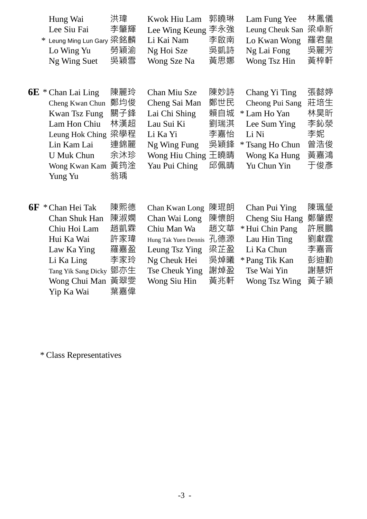| Hung Wai                  | 洪瑋  | Kwok Hiu Lam 郭曉琳   |     | Lam Fung Yee        | 林鳳儀 |
|---------------------------|-----|--------------------|-----|---------------------|-----|
| Lee Siu Fai               | 李肇輝 | Lee Wing Keung 李永強 |     | Leung Cheuk San 梁卓新 |     |
| * Leung Ming Lun Gary 梁銘麟 |     | Li Kai Nam         | 李啟南 | Lo Kwan Wong        | 羅君皇 |
| Lo Wing Yu                | 勞穎渝 | Ng Hoi Sze         | 吳凱詩 | Ng Lai Fong         | 吳麗芳 |
| Ng Wing Suet              | 吳穎雪 | Wong Sze Na        | 黃思娜 | Wong Tsz Hin        | 黃梓軒 |
|                           |     |                    |     |                     |     |

| $6E *$ Chan Lai Ling           | 陳麗玲 | Chan Miu Sze       | 陳妙詩 | Chang Yi Ting   | 張懿婷 |
|--------------------------------|-----|--------------------|-----|-----------------|-----|
| Cheng Kwan Chun 鄭均俊            |     | Cheng Sai Man      | 鄭世民 | Cheong Pui Sang | 莊培生 |
| Kwan Tsz Fung                  | 關子鋒 | Lai Chi Shing      | 賴自城 | * Lam Ho Yan    | 林昊昕 |
| Lam Hon Chiu                   | 林漢超 | Lau Sui Ki         | 劉瑞淇 | Lee Sum Ying    | 李鈊滎 |
| Leung Hok Ching 梁學程            |     | Li Ka Yi           | 李嘉怡 | Li Ni           | 李妮  |
| Lin Kam Lai                    | 連錦麗 | Ng Wing Fung       | 吳穎鋒 | * Tsang Ho Chun | 曾浩俊 |
| <b>U</b> Muk Chun              | 余沐珍 | Wong Hiu Ching 王曉晴 |     | Wong Ka Hung    | 黃嘉鴻 |
| Wong Kwan Kam 黃筠淦              |     | Yau Pui Ching      | 邱佩晴 | Yu Chun Yin     | 干俊彥 |
| $V_{\text{unof}} V_{\text{u}}$ | 送理  |                    |     |                 |     |

| $6F *$ Chan Hei Tak     | 陳熙德 | Chan Kwan Long 陳琨朗       |     | Chan Pui Ying  | 陳珮瑩 |
|-------------------------|-----|--------------------------|-----|----------------|-----|
| Chan Shuk Han           | 陳淑嫻 | Chan Wai Long            | 陳懷朗 | Cheng Siu Hang | 鄭肇鏗 |
| Chiu Hoi Lam            | 趙凱霖 | Chiu Man Wa              | 趙文華 | *Hui Chin Pang | 許展鵬 |
| Hui Ka Wai              | 許家瑋 | Hung Tak Yuen Dennis 孔德源 |     | Lau Hin Ting   | 劉獻霆 |
| Law Ka Ying             | 羅嘉盈 | Leung Tsz Ying           | 梁芷盈 | Li Ka Chun     | 李嘉晋 |
| Li Ka Ling              | 李家玲 | Ng Cheuk Hei             | 吳焯曦 | * Pang Tik Kan | 彭迪勤 |
| Tang Yik Sang Dicky 鄧亦生 |     | Tse Cheuk Ying           | 謝焯盈 | Tse Wai Yin    | 謝慧妍 |
| Wong Chui Man 黃翠雯       |     | Wong Siu Hin             | 黃兆軒 | Wong Tsz Wing  | 黃子穎 |
| Yip Ka Wai              | 葉嘉偉 |                          |     |                |     |

\* Class Representatives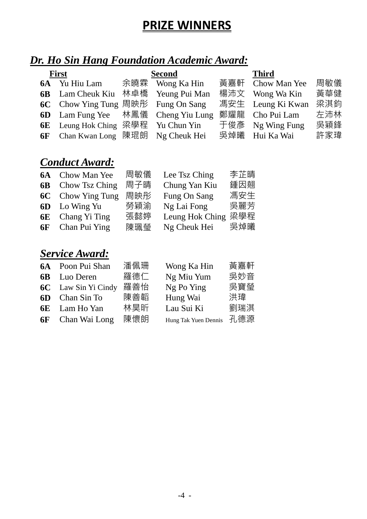### **PRIZE WINNERS**

### *Dr. Ho Sin Hang Foundation Academic Award:*

| <b>First</b>                              | Second          | <b>Third</b>      |     |
|-------------------------------------------|-----------------|-------------------|-----|
| <b>6A</b> Yu Hiu Lam                      | 余曉霖 Wong Ka Hin | 黃嘉軒 Chow Man Yee  | 周敏儀 |
| 6B Lam Cheuk Kiu 林卓橋 Yeung Pui Man        |                 | 楊沛文 Wong Wa Kin   | 黃華健 |
| 6C Chow Ying Tung 周映彤 Fung On Sang        |                 | 馮安生 Leung Ki Kwan | 梁淇鈞 |
| <b>6D</b> Lam Fung Yee 林鳳儀 Cheng Yiu Lung |                 | 鄭耀龍 Cho Pui Lam   | 左沛林 |
| 6E Leung Hok Ching 梁學程 Yu Chun Yin        |                 | 于俊彥 Ng Wing Fung  | 吳穎鋒 |
| <b>6F</b> Chan Kwan Long 陳琨朗 Ng Cheuk Hei |                 | 吳焯曦 Hui Ka Wai    | 許家瑋 |

#### *Conduct Award:*

| <b>6A</b> Chow Man Yee   | 周敏儀 | Lee Tsz Ching       | 李芷晴 |
|--------------------------|-----|---------------------|-----|
| <b>6B</b> Chow Tsz Ching | 周子晴 | Chung Yan Kiu       | 鍾因翹 |
| <b>6C</b> Chow Ying Tung | 周映彤 | Fung On Sang        | 馮安生 |
| <b>6D</b> Lo Wing Yu     | 勞穎渝 | Ng Lai Fong         | 吳麗芳 |
| <b>6E</b> Chang Yi Ting  | 張懿婷 | Leung Hok Ching 梁學程 |     |
| <b>6F</b> Chan Pui Ying  | 陳珮瑩 | Ng Cheuk Hei        | 吳焯曦 |

#### *Service Award:*

| <b>6A</b> Poon Pui Shan    | 潘佩珊 | Wong Ka Hin | 黃嘉軒                      |
|----------------------------|-----|-------------|--------------------------|
| <b>6B</b> Luo Deren        | 羅德仁 | Ng Miu Yum  | 吳妙音                      |
| <b>6C</b> Law Sin Yi Cindy | 羅善怡 | Ng Po Ying  | 吳寶瑩                      |
| <b>6D</b> Chan Sin To      | 陳善韜 | Hung Wai    | 洪瑋                       |
| <b>6E</b> Lam Ho Yan       | 林昊昕 | Lau Sui Ki  | 劉瑞淇                      |
| <b>6F</b> Chan Wai Long    | 陳懷朗 |             |                          |
|                            |     |             | Hung Tak Yuen Dennis 孔德源 |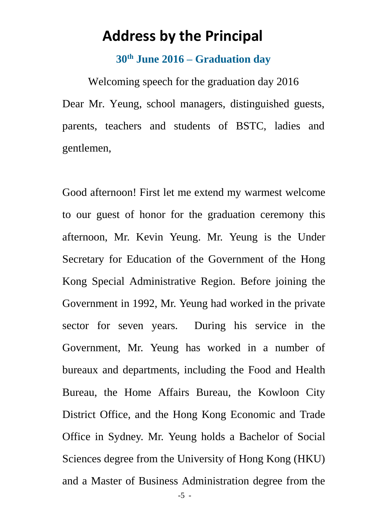### **Address by the Principal**

#### **30th June 2016 – Graduation day**

Welcoming speech for the graduation day 2016 Dear Mr. Yeung, school managers, distinguished guests, parents, teachers and students of BSTC, ladies and gentlemen,

Good afternoon! First let me extend my warmest welcome to our guest of honor for the graduation ceremony this afternoon, Mr. Kevin Yeung. Mr. Yeung is the Under Secretary for Education of the Government of the Hong Kong Special Administrative Region. Before joining the Government in 1992, Mr. Yeung had worked in the private sector for seven years. During his service in the Government, Mr. Yeung has worked in a number of bureaux and departments, including the Food and Health Bureau, the Home Affairs Bureau, the Kowloon City District Office, and the Hong Kong Economic and Trade Office in Sydney. Mr. Yeung holds a Bachelor of Social Sciences degree from the University of Hong Kong (HKU) and a Master of Business Administration degree from the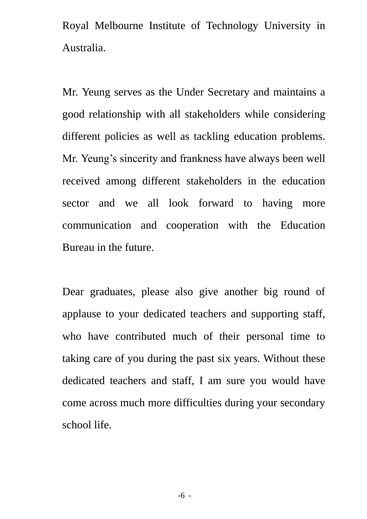Royal Melbourne Institute of Technology University in Australia.

Mr. Yeung serves as the Under Secretary and maintains a good relationship with all stakeholders while considering different policies as well as tackling education problems. Mr. Yeung's sincerity and frankness have always been well received among different stakeholders in the education sector and we all look forward to having more communication and cooperation with the Education Bureau in the future.

Dear graduates, please also give another big round of applause to your dedicated teachers and supporting staff, who have contributed much of their personal time to taking care of you during the past six years. Without these dedicated teachers and staff, I am sure you would have come across much more difficulties during your secondary school life.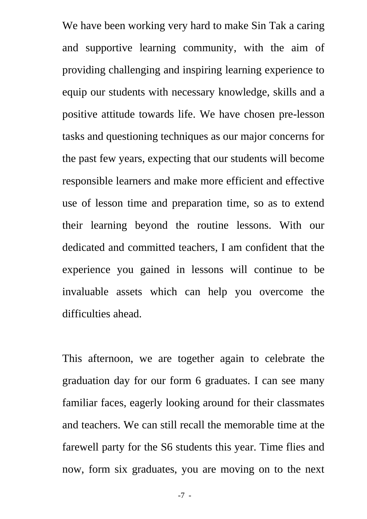We have been working very hard to make Sin Tak a caring and supportive learning community, with the aim of providing challenging and inspiring learning experience to equip our students with necessary knowledge, skills and a positive attitude towards life. We have chosen pre-lesson tasks and questioning techniques as our major concerns for the past few years, expecting that our students will become responsible learners and make more efficient and effective use of lesson time and preparation time, so as to extend their learning beyond the routine lessons. With our dedicated and committed teachers, I am confident that the experience you gained in lessons will continue to be invaluable assets which can help you overcome the difficulties ahead.

This afternoon, we are together again to celebrate the graduation day for our form 6 graduates. I can see many familiar faces, eagerly looking around for their classmates and teachers. We can still recall the memorable time at the farewell party for the S6 students this year. Time flies and now, form six graduates, you are moving on to the next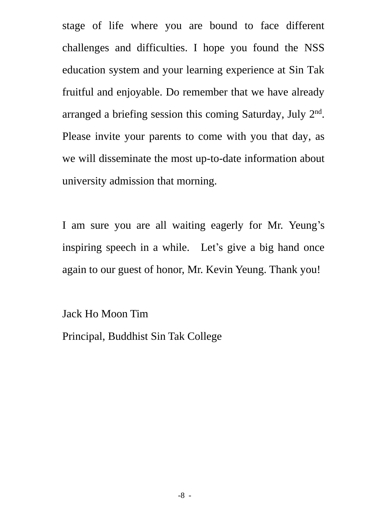stage of life where you are bound to face different challenges and difficulties. I hope you found the NSS education system and your learning experience at Sin Tak fruitful and enjoyable. Do remember that we have already arranged a briefing session this coming Saturday, July 2<sup>nd</sup>. Please invite your parents to come with you that day, as we will disseminate the most up-to-date information about university admission that morning.

I am sure you are all waiting eagerly for Mr. Yeung's inspiring speech in a while. Let's give a big hand once again to our guest of honor, Mr. Kevin Yeung. Thank you!

Jack Ho Moon Tim Principal, Buddhist Sin Tak College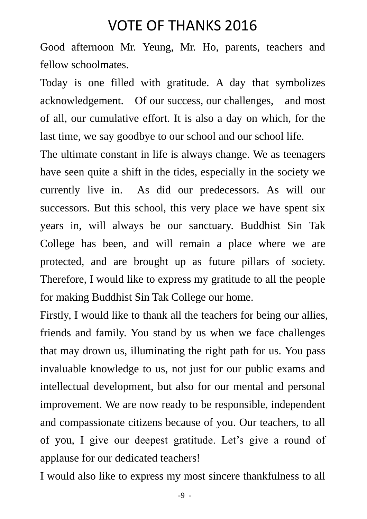### VOTE OF THANKS 2016

Good afternoon Mr. Yeung, Mr. Ho, parents, teachers and fellow schoolmates.

Today is one filled with gratitude. A day that symbolizes acknowledgement. Of our success, our challenges, and most of all, our cumulative effort. It is also a day on which, for the last time, we say goodbye to our school and our school life.

The ultimate constant in life is always change. We as teenagers have seen quite a shift in the tides, especially in the society we currently live in. As did our predecessors. As will our successors. But this school, this very place we have spent six years in, will always be our sanctuary. Buddhist Sin Tak College has been, and will remain a place where we are protected, and are brought up as future pillars of society. Therefore, I would like to express my gratitude to all the people for making Buddhist Sin Tak College our home.

Firstly, I would like to thank all the teachers for being our allies, friends and family. You stand by us when we face challenges that may drown us, illuminating the right path for us. You pass invaluable knowledge to us, not just for our public exams and intellectual development, but also for our mental and personal improvement. We are now ready to be responsible, independent and compassionate citizens because of you. Our teachers, to all of you, I give our deepest gratitude. Let's give a round of applause for our dedicated teachers!

I would also like to express my most sincere thankfulness to all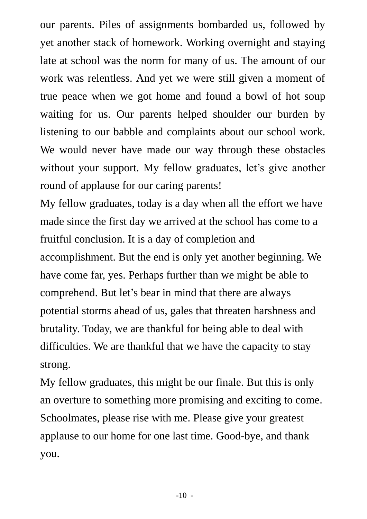our parents. Piles of assignments bombarded us, followed by yet another stack of homework. Working overnight and staying late at school was the norm for many of us. The amount of our work was relentless. And yet we were still given a moment of true peace when we got home and found a bowl of hot soup waiting for us. Our parents helped shoulder our burden by listening to our babble and complaints about our school work. We would never have made our way through these obstacles without your support. My fellow graduates, let's give another round of applause for our caring parents!

My fellow graduates, today is a day when all the effort we have made since the first day we arrived at the school has come to a fruitful conclusion. It is a day of completion and accomplishment. But the end is only yet another beginning. We have come far, yes. Perhaps further than we might be able to comprehend. But let's bear in mind that there are always potential storms ahead of us, gales that threaten harshness and brutality. Today, we are thankful for being able to deal with difficulties. We are thankful that we have the capacity to stay strong.

My fellow graduates, this might be our finale. But this is only an overture to something more promising and exciting to come. Schoolmates, please rise with me. Please give your greatest applause to our home for one last time. Good-bye, and thank you.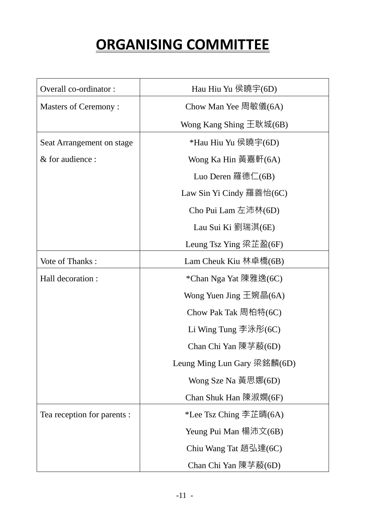## **ORGANISING COMMITTEE**

| Overall co-ordinator:       | Hau Hiu Yu 侯曉宇(6D)                                       |
|-----------------------------|----------------------------------------------------------|
| <b>Masters of Ceremony:</b> | Chow Man Yee 周敏儀(6A)                                     |
|                             | Wong Kang Shing $\pm \mathbb{R} \mathbb{W}$ (6B)         |
| Seat Arrangement on stage   | *Hau Hiu Yu 侯曉宇(6D)                                      |
| & for audience :            | Wong Ka Hin 黃嘉軒(6A)                                      |
|                             | Luo Deren 羅德仁(6B)                                        |
|                             | Law Sin Yi Cindy 羅善怡(6C)                                 |
|                             | Cho Pui Lam 左沛林(6D)                                      |
|                             | Lau Sui Ki 劉瑞淇(6E)                                       |
|                             | Leung Tsz Ying 梁芷盈(6F)                                   |
| Vote of Thanks:             | Lam Cheuk Kiu 林卓橋( $6B$ )                                |
| Hall decoration :           | *Chan Nga Yat 陳雅逸(6C)                                    |
|                             | Wong Yuen Jing 王婉晶(6A)                                   |
|                             | Chow Pak Tak 周柏特(6C)                                     |
|                             | Li Wing Tung $\overline{\mathcal{F}}\$ $\mathcal{F}(6C)$ |
|                             | Chan Chi Yan 陳芓蒑(6D)                                     |
|                             | Leung Ming Lun Gary 梁銘麟(6D)                              |
|                             | Wong Sze Na 黃思娜(6D)                                      |
|                             | Chan Shuk Han 陳淑嫻(6F)                                    |
| Tea reception for parents : | *Lee Tsz Ching 李芷晴(6A)                                   |
|                             | Yeung Pui Man 楊沛文(6B)                                    |
|                             | Chiu Wang Tat 趙弘達(6C)                                    |
|                             | Chan Chi Yan 陳芓蒑(6D)                                     |